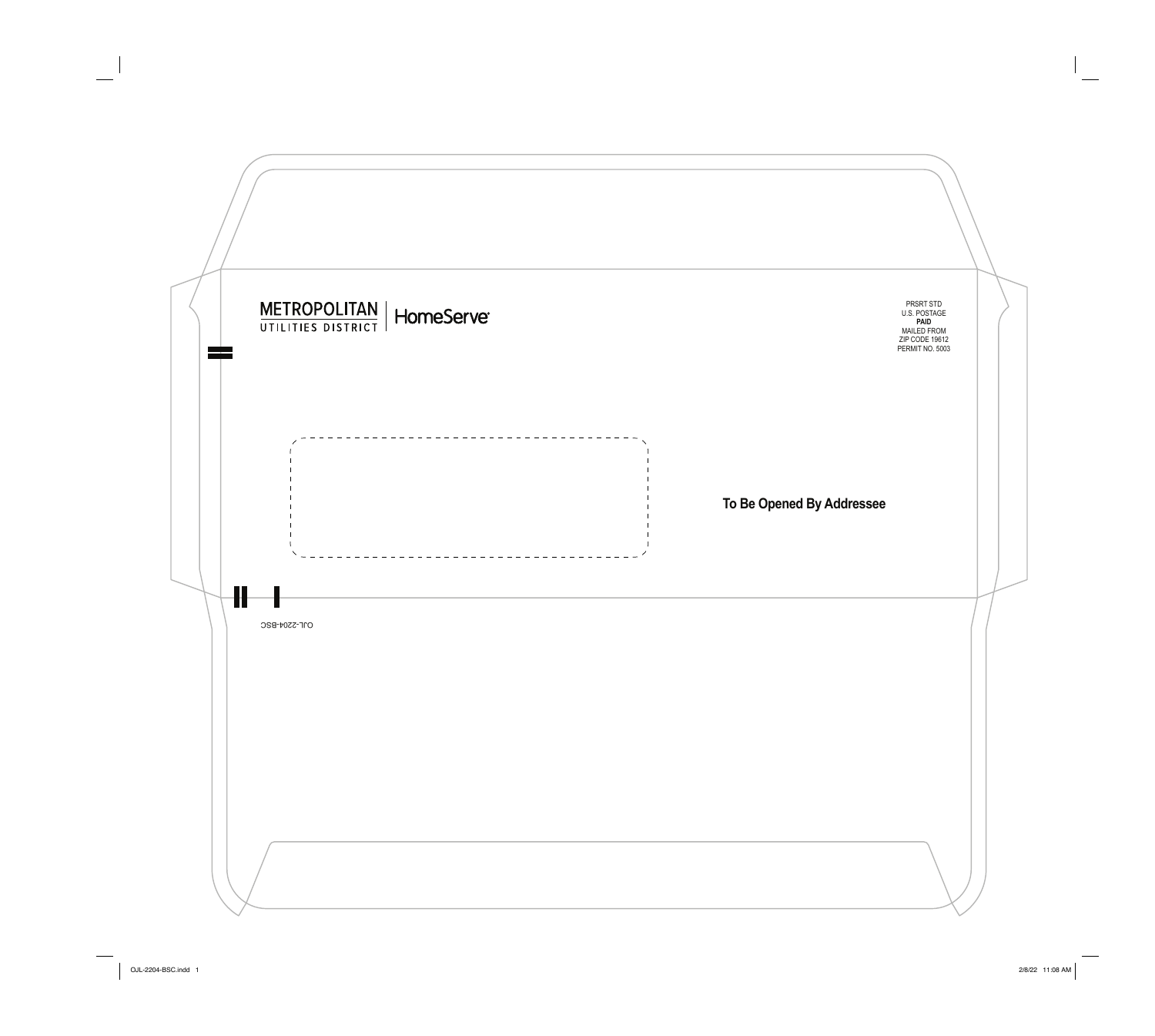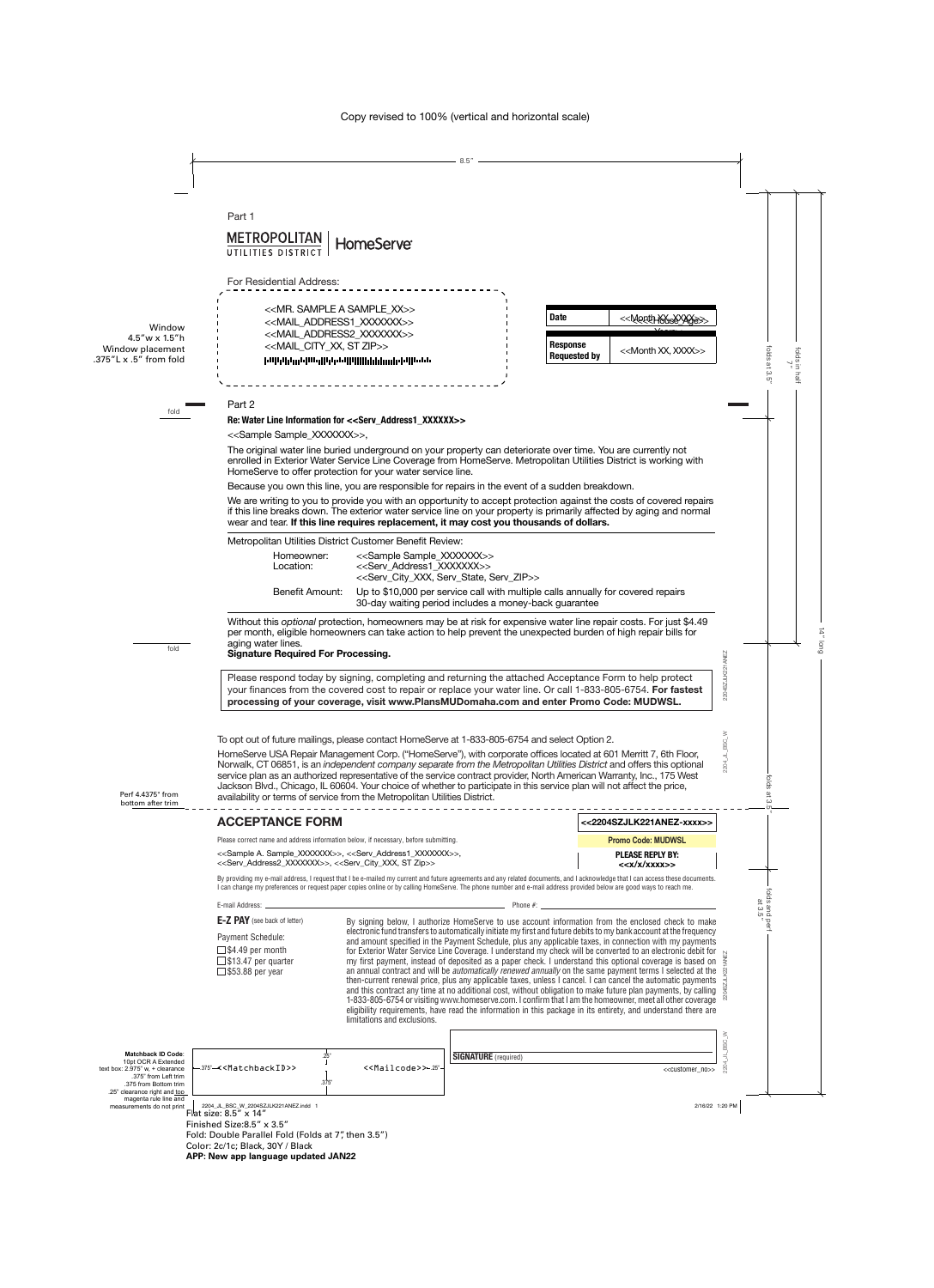**METROPOLITAN HomeServe®** UTILITIES DISTR

For Residential Address:

| [][][][][][][][][][][][][][][                   |
|-------------------------------------------------|
| < <mail city="" st="" xx,="" zip="">&gt;</mail> |
| < <mail address2="" xxxxxxx="">&gt;</mail>      |
| < <mail address1="" xxxxxxx="">&gt;</mail>      |
| < <mr. a="" sample="" xx="">&gt;</mr.>          |
|                                                 |

| <b>Date</b>                     | < <mopthxxxxx<br>े । जिल्ला<math>&gt;</math></mopthxxxxx<br> |
|---------------------------------|--------------------------------------------------------------|
|                                 |                                                              |
| <b>Response</b><br>Requested by | < <month xx,="" xxxx="">&gt;</month>                         |

### Part 2

### **Re: Water Line Information for <<Serv\_Address1\_XXXXXX>>**

<<Sample Sample\_XXXXXXX>>,

The original water line buried underground on your property can deteriorate over time. You are currently not enrolled in Exterior Water Service Line Coverage from HomeServe. Metropolitan Utilities District is working with HomeServe to offer protection for your water service line.

Because you own this line, you are responsible for repairs in the event of a sudden breakdown.

We are writing to you to provide you with an opportunity to accept protection against the costs of covered repairs if this line breaks down. The exterior water service line on your property is primarily affected by aging and normal wear and tear. **If this line requires replacement, it may cost you thousands of dollars.** 

Metropolitan Utilities District Customer Benefit Review:

| Homeowner:<br>Location: | < <sample sample="" xxxxxx="">&gt;<br/>&lt;<serv address1="" xxxxxx="">&gt;<br/>&lt;<serv city="" serv="" state,="" xxx,="" zip="">&gt;</serv></serv></sample> |
|-------------------------|----------------------------------------------------------------------------------------------------------------------------------------------------------------|
| Benefit Amount:         | Up to \$10,000 per service call with multiple calls annually for covered repairs<br>30-day waiting period includes a money-back guarantee                      |

Without this *optional* protection, homeowners may be at risk for expensive water line repair costs. For just \$4.49 per month, eligible homeowners can take action to help prevent the unexpected burden of high repair bills for aging water lines.

# **Signature Required For Processing.**

Please respond today by signing, completing and returning the attached Acceptance Form to help protect your finances from the covered cost to repair or replace your water line. Or call 1-833-805-6754. **For fastest processing of your coverage, visit www.PlansMUDomaha.com and enter Promo Code: MUDWSL.**

To opt out of future mailings, please contact HomeServe at 1-833-805-6754 and select Option 2.

HomeServe USA Repair Management Corp. ("HomeServe"), with corporate offices located at 601 Merritt 7, 6th Floor, Norwalk, CT 06851, is an *independent company separate from the Metropolitan Utilities District* and offers this optional service plan as an authorized representative of the service contract provider, North American Warranty, Inc., 175 West Jackson Blvd., Chicago, IL 60604. Your choice of whether to participate in this service plan will not affect the price, availability or terms of service from the Metropolitan Utilities District.

| <b>ACCEPTANCE FORM</b>                                                                                                                                                                                                     | <<2204SZJLK221ANEZ-xxxx>>                             |
|----------------------------------------------------------------------------------------------------------------------------------------------------------------------------------------------------------------------------|-------------------------------------------------------|
| Please correct name and address information below, if necessary, before submitting.                                                                                                                                        | <b>Promo Code: MUDWSL</b>                             |
| < <sample a.="" sample_xxxxxx="">&gt;, &lt;<serv_address1_xxxxxx>&gt;,<br/>&lt;<serv_address2_xxxxxxx>&gt;, &lt;<serv_city_xxx, st="" zip="">&gt;</serv_city_xxx,></serv_address2_xxxxxxx></serv_address1_xxxxxx></sample> | <b>PLEASE REPLY BY:</b><br>< <x x="" xxxx="">&gt;</x> |

By providing my e-mail address, I request that I be e-mailed my current and future agreements and any related documents, and I acknowledge that I can access these documents. I can change my preferences or request paper copies online or by calling HomeServe. The phone number and e-mail address provided below are good ways to reach me.

#### E-mail Address: Phone #:

**E-Z PAY** (see back of letter) Payment Schedule:  $\square$  \$4.49 per month  $\square$  \$13.47 per quarter  $\square$  \$53.88 per year

By signing below, I authorize HomeServe to use account information from the enclosed check to make electronic fund transfers to automatically initiate my first and future debits to my bank account at the frequency and amount specified in the Payment Schedule, plus any applicable taxes, in connection with my payments for Exterior Water Service Line Coverage. I understand my check will be converted to an electronic debit for my first payment, instead of deposited as a paper check. I understand this optional coverage is based on an annual contract and will be *automatically renewed annually* on the same payment terms I selected at the then-current renewal price, plus any applicable taxes, unless I cancel. I can cancel the automatic payments and this contract any time at no additional cost, without obligation to make future plan payments, by calling 1-833-805-6754 or visiting www.homeserve.com. I confirm that I am the homeowner, meet all other coverage eligibility requirements, have read the information in this package in its entirety, and understand there are limitations and exclusions.

2204\_JL\_BSC\_W

BSC<sub>.</sub>

2204\_JL\_BSC\_W

2204\_JL\_BSC\_W

2204SZJLK221ANEZ

2204SZJLK221ANEZ

.375"-<<MatchbackID>>><<Mailcode>>

<<Mailcode>>  $25"$ 

.25"

.375"

**SIGNATURE** (required)

<<customer\_no>>